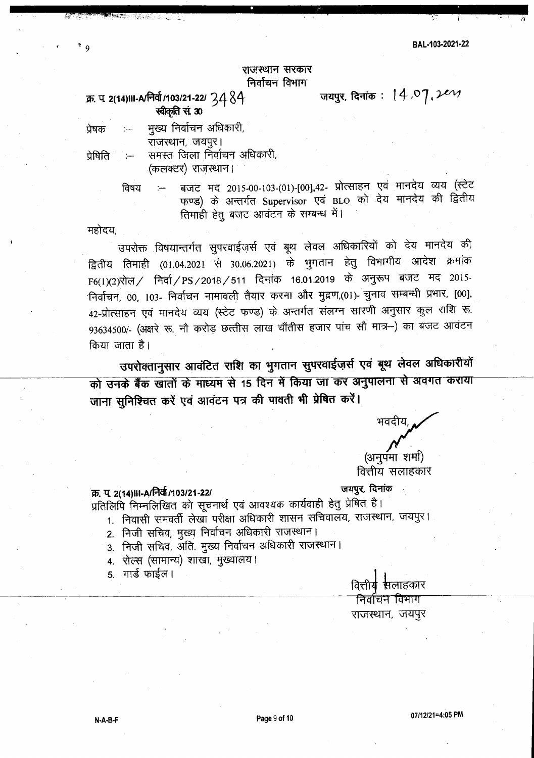### राजस्थान सरकार निर्वाचन विभाग

# क्र. प. 2(14)III-A/निर्वा/103/21-22/  $3484$  way, दिनांक: 14.07. 2em स्वीकृति सं. 30

- 
- प्रेषक :-- मुख्य निर्वाचन अधिकारी, राजस्थान, जयपुर।
- प्रेषिति  $-$  समस्त जिला निर्वाचन अधिकारी, (कलक्टर) राजस्थान।

विषय :- बजट मद 2015-00-103-(01)-[00],42- प्रोत्साहन एवं मानदेय व्यय (स्टेट फण्ड) के अन्तर्गत Supervisor एवं BLO को देय मानदेय की द्वितीय तिमाही हेतु बजट आवंटन के सम्बन्ध में।

महोदय.

उपरोक्त विषयान्तर्गत सुपरवाईजर्स एवं बूथ लेवल अधिकारियों को देय मानदेय की द्वितीय तिमाही (01.04.2021 से 30.06.2021) के भुगतान हेतु विभागीय आदेश क्रमांक  $F6(1)(2)$ रोल / निर्वा / PS / 2018 / 511 दिनांक 16.01.2019 के अनुरूप बजट मद 2015-निर्वाचन, 00, 103- निर्वाचन नामावली तैयार करना और मुद्रण,(01)- चुनाव सम्बन्धी प्रभार, [00], 42-प्रोत्साहन एवं मानदेय व्यय (स्टेट फण्ड) के अन्तर्गत संलग्न सारणी अनुसार कुल राशि रू. 93634500/- (अक्षरे रू. नौ करोड़ छत्तीस लाख चौंतीस हजार पांच सौ मात्र--) का बजट आवंटन किया जाता है।

उपरोक्तानुसार आवंटित राशि का भुगतान सुपरवाईज़र्स एवं बूथ लेवल अधिकारीयों को उनके बैंक खातों के माध्यम से 15 दिन में किया जा कर अनुपालना से अवगत कराया जाना सुनिश्चित करें एवं आवंटन पत्र की पावती भी प्रेषित करें।

भवदीय (अनुपंमा शर्मा) वित्तीय सलाहकार

## :क्र. प. 2(14)III-A/निर्वा*।*103/21-22/ जयपुर, दिनांक

प्रतिलिपि निम्नलिखित को सूचनार्थ एवं आवश्यक कार्यवाही हेतु प्रेषित है।

1. निवासी समवर्ती लेखा परीक्षा अधिकारी शासन सचिवालय, राजस्थान, जयपुर।

- 2. निजी सचिव, मुख्य निर्वाचन अधिकारी राजस्थान।
- 3. निजी सचिव, अति. मुख्य निर्वाचन अधिकारी राजस्थान।
- 4. रोल्स (सामान्य) शाखा, मुख्यालय।
- 5. गार्ड फाईल ।

सलाहकार वित्तीय निर्वाचन विभाग राजस्थान, जयपूर